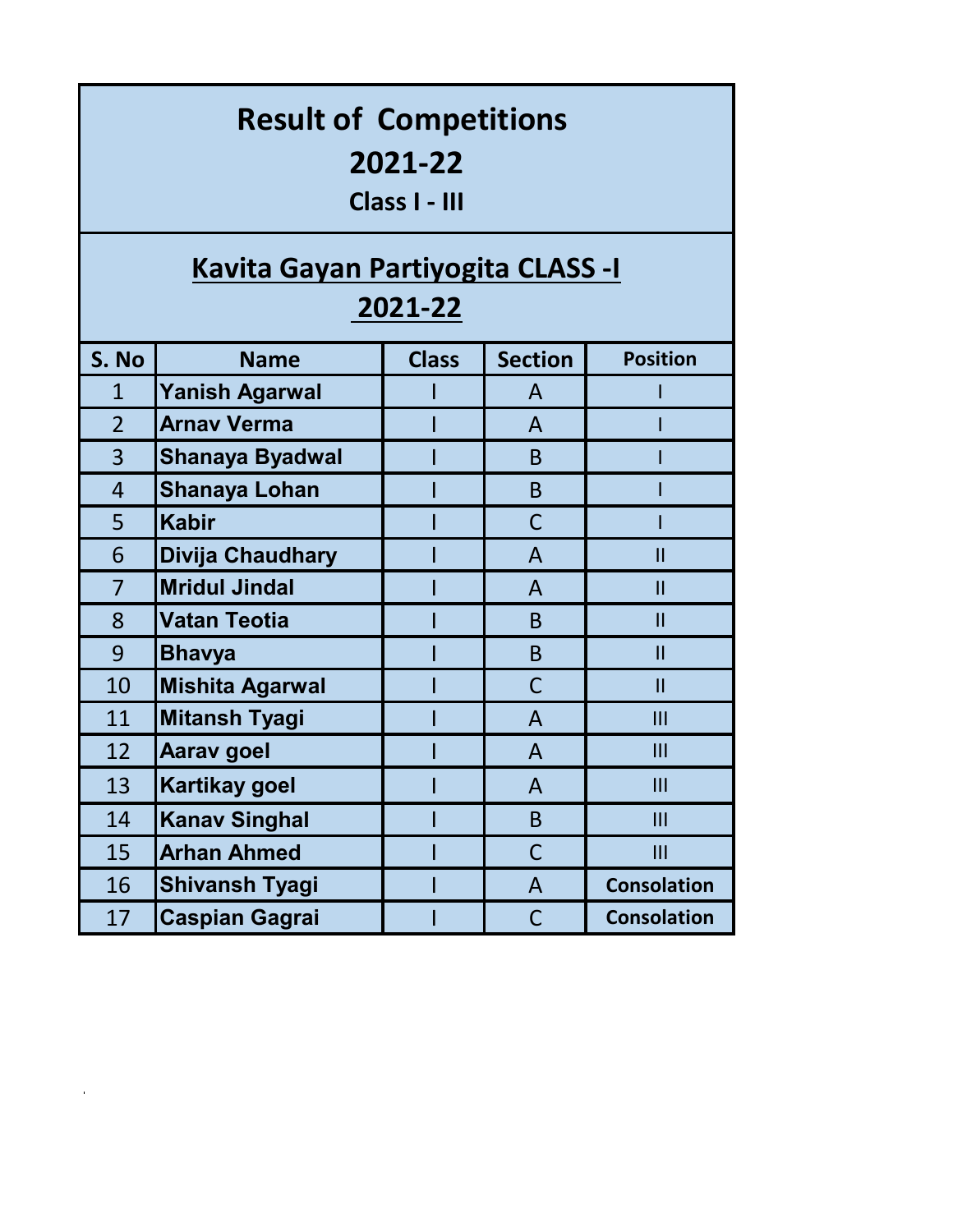| <b>Result of Competitions</b><br>2021-22<br>Class I - III<br><b>Kavita Gayan Partiyogita CLASS -I</b><br>2021-22 |                         |              |                |                         |  |  |  |
|------------------------------------------------------------------------------------------------------------------|-------------------------|--------------|----------------|-------------------------|--|--|--|
| S. No                                                                                                            | <b>Name</b>             | <b>Class</b> | <b>Section</b> | <b>Position</b>         |  |  |  |
| $\mathbf{1}$                                                                                                     | <b>Yanish Agarwal</b>   |              | A              |                         |  |  |  |
| $\overline{2}$                                                                                                   | <b>Arnav Verma</b>      |              | $\mathsf{A}$   |                         |  |  |  |
| 3                                                                                                                | <b>Shanaya Byadwal</b>  |              | B              |                         |  |  |  |
| $\overline{4}$                                                                                                   | <b>Shanaya Lohan</b>    |              | B <sub>1</sub> |                         |  |  |  |
| 5                                                                                                                | <b>Kabir</b>            |              | $\mathsf C$    |                         |  |  |  |
| 6                                                                                                                | <b>Divija Chaudhary</b> |              | $\overline{A}$ | $\mathbf{I}$            |  |  |  |
| $\overline{7}$                                                                                                   | <b>Mridul Jindal</b>    |              | $\overline{A}$ | $\overline{\mathsf{I}}$ |  |  |  |
| 8                                                                                                                | <b>Vatan Teotia</b>     |              | B <sub>1</sub> | $\mathbf{I}$            |  |  |  |
| 9                                                                                                                | <b>Bhavya</b>           |              | B              | $\mathbf{I}$            |  |  |  |
| 10                                                                                                               | <b>Mishita Agarwal</b>  |              | $\mathsf{C}$   | $\mathbf{I}$            |  |  |  |
| 11                                                                                                               | <b>Mitansh Tyagi</b>    |              | $\mathsf{A}$   | III                     |  |  |  |
| 12                                                                                                               | <b>Aarav goel</b>       |              | $\mathsf{A}$   | $\mathbf{III}$          |  |  |  |
| 13                                                                                                               | <b>Kartikay goel</b>    |              | $\mathsf{A}$   | III                     |  |  |  |
| 14                                                                                                               | <b>Kanav Singhal</b>    |              | $\mathsf B$    | III                     |  |  |  |
| 15                                                                                                               | <b>Arhan Ahmed</b>      |              | $\mathsf C$    | III                     |  |  |  |
| 16                                                                                                               | <b>Shivansh Tyagi</b>   |              | $\mathsf{A}$   | <b>Consolation</b>      |  |  |  |
| 17                                                                                                               | <b>Caspian Gagrai</b>   |              | $\mathsf{C}$   | <b>Consolation</b>      |  |  |  |

 $\mathcal{L}^{\text{max}}_{\text{max}}$  and  $\mathcal{L}^{\text{max}}_{\text{max}}$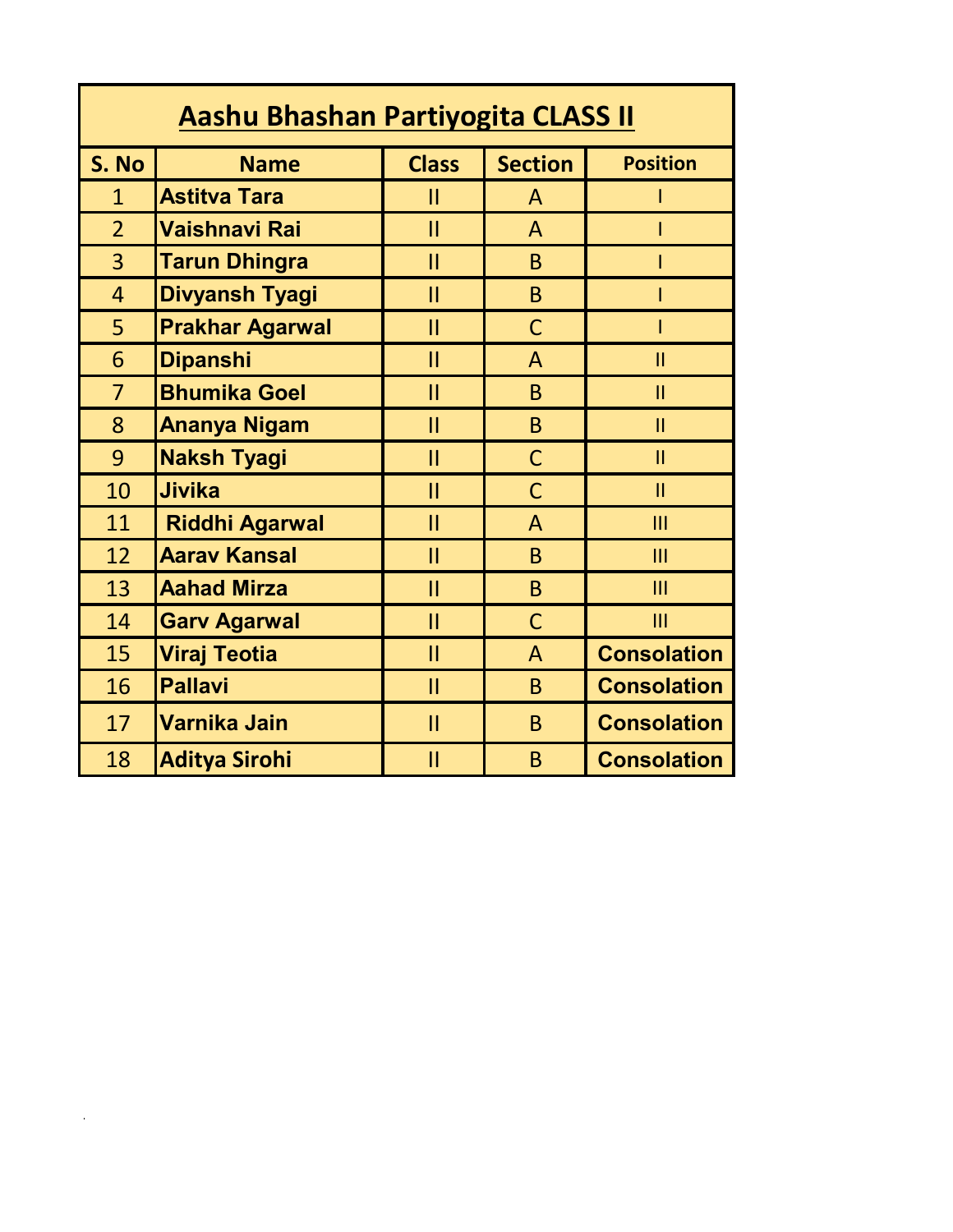| Aashu Bhashan Partiyogita CLASS II |                        |               |                |                    |  |  |  |
|------------------------------------|------------------------|---------------|----------------|--------------------|--|--|--|
| S. No                              | <b>Name</b>            | <b>Class</b>  | <b>Section</b> | <b>Position</b>    |  |  |  |
| $\mathbf{1}$                       | <b>Astitva Tara</b>    | Ш             | A              | ı                  |  |  |  |
| $\overline{2}$                     | <b>Vaishnavi Rai</b>   | $\mathbf{II}$ | A              |                    |  |  |  |
| 3                                  | <b>Tarun Dhingra</b>   | Ш             | <sub>B</sub>   |                    |  |  |  |
| $\overline{4}$                     | <b>Divyansh Tyagi</b>  | $\mathbf{II}$ | B              |                    |  |  |  |
| 5                                  | <b>Prakhar Agarwal</b> | $\mathsf{II}$ | $\mathsf{C}$   | I                  |  |  |  |
| 6                                  | <b>Dipanshi</b>        | $\mathsf{II}$ | A              | $\mathbf{II}$      |  |  |  |
| $\overline{7}$                     | <b>Bhumika Goel</b>    | $\mathbf{II}$ | B              | $\mathbf{II}$      |  |  |  |
| 8                                  | Ananya Nigam           | $\mathbf{II}$ | B              | $\mathbf{II}$      |  |  |  |
| 9                                  | <b>Naksh Tyagi</b>     | $\mathbf{II}$ | $\mathsf{C}$   | $\mathbf{II}$      |  |  |  |
| 10                                 | <b>Jivika</b>          | $\mathbf{II}$ | $\mathsf{C}$   | $\mathbf{II}$      |  |  |  |
| 11                                 | <b>Riddhi Agarwal</b>  | $\mathbf{II}$ | $\overline{A}$ | III                |  |  |  |
| 12                                 | <b>Aarav Kansal</b>    | $\mathbf{II}$ | B              | $\mathbf{III}$     |  |  |  |
| 13                                 | <b>Aahad Mirza</b>     | $\mathbf{II}$ | B              | III                |  |  |  |
| 14                                 | <b>Garv Agarwal</b>    | $\mathbf{II}$ | $\mathsf{C}$   | III                |  |  |  |
| 15                                 | <b>Viraj Teotia</b>    | П             | $\mathsf{A}$   | <b>Consolation</b> |  |  |  |
| 16                                 | <b>Pallavi</b>         | $\mathbf{II}$ | B              | <b>Consolation</b> |  |  |  |
| 17                                 | Varnika Jain           | $\mathbf{II}$ | B              | <b>Consolation</b> |  |  |  |
| 18                                 | <b>Aditya Sirohi</b>   | $\mathbf{I}$  | B              | <b>Consolation</b> |  |  |  |

 $\mathcal{L}^{\text{max}}_{\text{max}}$